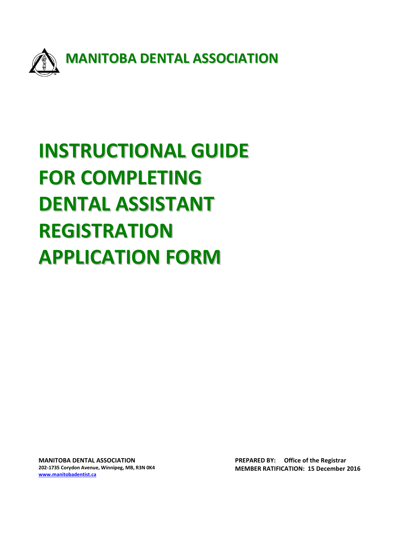

# **INSTRUCTIONAL GUIDE FOR COMPLETING DENTAL ASSISTANT REGISTRATION APPLICATION FORM**

**MANITOBA DENTAL ASSOCIATION 202-1735 Corydon Avenue, Winnipeg, MB, R3N 0K4 [www.manitobadentist.ca](http://www.manitobadentist.ca/)**

**PREPARED BY: Office of the Registrar MEMBER RATIFICATION: 15 December 2016**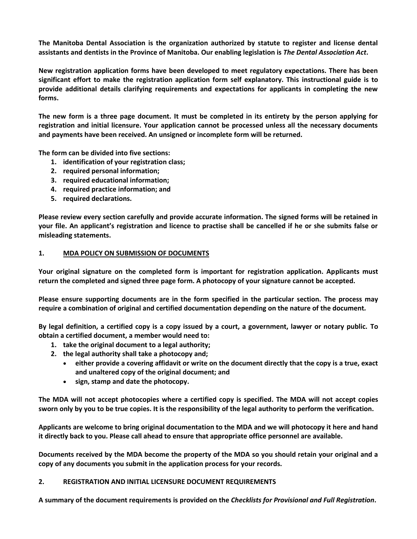**The Manitoba Dental Association is the organization authorized by statute to register and license dental assistants and dentists in the Province of Manitoba. Our enabling legislation is** *The Dental Association Act***.**

**New registration application forms have been developed to meet regulatory expectations. There has been significant effort to make the registration application form self explanatory. This instructional guide is to provide additional details clarifying requirements and expectations for applicants in completing the new forms.** 

**The new form is a three page document. It must be completed in its entirety by the person applying for registration and initial licensure. Your application cannot be processed unless all the necessary documents and payments have been received. An unsigned or incomplete form will be returned.**

**The form can be divided into five sections:**

- **1. identification of your registration class;**
- **2. required personal information;**
- **3. required educational information;**
- **4. required practice information; and**
- **5. required declarations.**

**Please review every section carefully and provide accurate information. The signed forms will be retained in your file. An applicant's registration and licence to practise shall be cancelled if he or she submits false or misleading statements.** 

#### **1. MDA POLICY ON SUBMISSION OF DOCUMENTS**

**Your original signature on the completed form is important for registration application. Applicants must return the completed and signed three page form. A photocopy of your signature cannot be accepted.** 

**Please ensure supporting documents are in the form specified in the particular section. The process may require a combination of original and certified documentation depending on the nature of the document***.* 

**By legal definition, a certified copy is a copy issued by a court, a government, lawyer or notary public. To obtain a certified document, a member would need to:**

- **1. take the original document to a legal authority;**
- **2. the legal authority shall take a photocopy and;**
	- **either provide a covering affidavit or write on the document directly that the copy is a true, exact and unaltered copy of the original document; and**
	- **sign, stamp and date the photocopy.**

**The MDA will not accept photocopies where a certified copy is specified. The MDA will not accept copies sworn only by you to be true copies. It is the responsibility of the legal authority to perform the verification.**

**Applicants are welcome to bring original documentation to the MDA and we will photocopy it here and hand it directly back to you. Please call ahead to ensure that appropriate office personnel are available.**

**Documents received by the MDA become the property of the MDA so you should retain your original and a copy of any documents you submit in the application process for your records.**

#### **2. REGISTRATION AND INITIAL LICENSURE DOCUMENT REQUIREMENTS**

**A summary of the document requirements is provided on the** *Checklists for Provisional and Full Registration***.**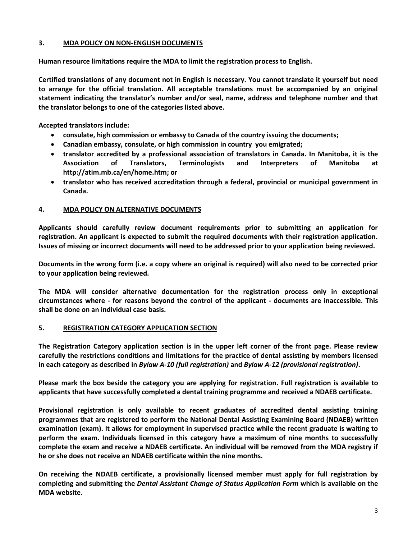## **3. MDA POLICY ON NON-ENGLISH DOCUMENTS**

**Human resource limitations require the MDA to limit the registration process to English.** 

**Certified translations of any document not in English is necessary. You cannot translate it yourself but need to arrange for the official translation. All acceptable translations must be accompanied by an original statement indicating the translator's number and/or seal, name, address and telephone number and that the translator belongs to one of the categories listed above.**

**Accepted translators include:**

- **consulate, high commission or embassy to Canada of the country issuing the documents;**
- **Canadian embassy, consulate, or high commission in country you emigrated;**
- **translator accredited by a professional association of translators in Canada. In Manitoba, it is the Association of Translators, Terminologists and Interpreters of Manitoba at http://atim.mb.ca/en/home.htm; or**
- **translator who has received accreditation through a federal, provincial or municipal government in Canada.**

## **4. MDA POLICY ON ALTERNATIVE DOCUMENTS**

**Applicants should carefully review document requirements prior to submitting an application for registration. An applicant is expected to submit the required documents with their registration application. Issues of missing or incorrect documents will need to be addressed prior to your application being reviewed.** 

**Documents in the wrong form (i.e. a copy where an original is required) will also need to be corrected prior to your application being reviewed.** 

**The MDA will consider alternative documentation for the registration process only in exceptional circumstances where - for reasons beyond the control of the applicant - documents are inaccessible. This shall be done on an individual case basis.**

#### **5. REGISTRATION CATEGORY APPLICATION SECTION**

**The Registration Category application section is in the upper left corner of the front page. Please review carefully the restrictions conditions and limitations for the practice of dental assisting by members licensed in each category as described in** *Bylaw A-10 (full registration)* **and** *Bylaw A-12 (provisional registration)***.**

**Please mark the box beside the category you are applying for registration. Full registration is available to applicants that have successfully completed a dental training programme and received a NDAEB certificate.**

**Provisional registration is only available to recent graduates of accredited dental assisting training programmes that are registered to perform the National Dental Assisting Examining Board (NDAEB) written examination (exam). It allows for employment in supervised practice while the recent graduate is waiting to perform the exam. Individuals licensed in this category have a maximum of nine months to successfully complete the exam and receive a NDAEB certificate. An individual will be removed from the MDA registry if he or she does not receive an NDAEB certificate within the nine months.** 

**On receiving the NDAEB certificate, a provisionally licensed member must apply for full registration by completing and submitting the** *Dental Assistant Change of Status Application Form* **which is available on the MDA website.**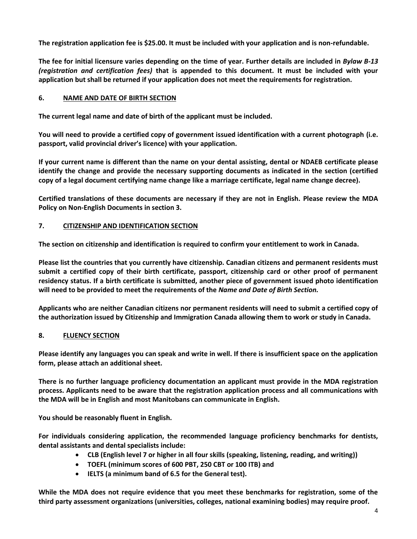**The registration application fee is \$25.00. It must be included with your application and is non-refundable.**

**The fee for initial licensure varies depending on the time of year. Further details are included in** *Bylaw B-13 (registration and certification fees)* **that is appended to this document. It must be included with your application but shall be returned if your application does not meet the requirements for registration.**

## **6. NAME AND DATE OF BIRTH SECTION**

**The current legal name and date of birth of the applicant must be included.** 

**You will need to provide a certified copy of government issued identification with a current photograph (i.e. passport, valid provincial driver's licence) with your application.**

**If your current name is different than the name on your dental assisting, dental or NDAEB certificate please identify the change and provide the necessary supporting documents as indicated in the section (certified copy of a legal document certifying name change like a marriage certificate, legal name change decree).**

**Certified translations of these documents are necessary if they are not in English. Please review the MDA Policy on Non-English Documents in section 3.**

#### **7. CITIZENSHIP AND IDENTIFICATION SECTION**

**The section on citizenship and identification is required to confirm your entitlement to work in Canada.** 

**Please list the countries that you currently have citizenship. Canadian citizens and permanent residents must submit a certified copy of their birth certificate, passport, citizenship card or other proof of permanent residency status. If a birth certificate is submitted, another piece of government issued photo identification will need to be provided to meet the requirements of the** *Name and Date of Birth Section.* 

**Applicants who are neither Canadian citizens nor permanent residents will need to submit a certified copy of the authorization issued by Citizenship and Immigration Canada allowing them to work or study in Canada.**

# **8. FLUENCY SECTION**

**Please identify any languages you can speak and write in well. If there is insufficient space on the application form, please attach an additional sheet.**

**There is no further language proficiency documentation an applicant must provide in the MDA registration process. Applicants need to be aware that the registration application process and all communications with the MDA will be in English and most Manitobans can communicate in English.** 

**You should be reasonably fluent in English.** 

**For individuals considering application, the recommended language proficiency benchmarks for dentists, dental assistants and dental specialists include:**

- **CLB (English level 7 or higher in all four skills (speaking, listening, reading, and writing))**
- **TOEFL (minimum scores of 600 PBT, 250 CBT or 100 ITB) and**
- **IELTS (a minimum band of 6.5 for the General test).**

**While the MDA does not require evidence that you meet these benchmarks for registration, some of the third party assessment organizations (universities, colleges, national examining bodies) may require proof.**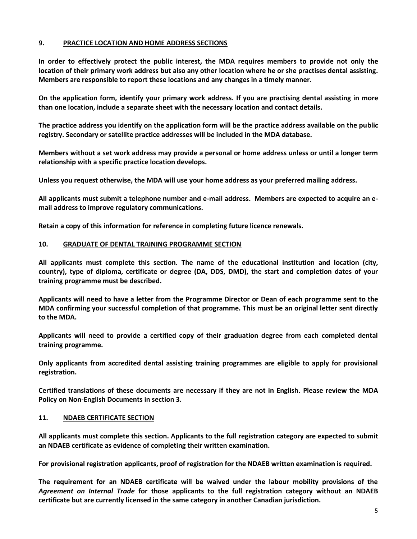#### **9. PRACTICE LOCATION AND HOME ADDRESS SECTIONS**

**In order to effectively protect the public interest, the MDA requires members to provide not only the location of their primary work address but also any other location where he or she practises dental assisting. Members are responsible to report these locations and any changes in a timely manner.** 

**On the application form, identify your primary work address. If you are practising dental assisting in more than one location, include a separate sheet with the necessary location and contact details.** 

**The practice address you identify on the application form will be the practice address available on the public registry. Secondary or satellite practice addresses will be included in the MDA database.** 

**Members without a set work address may provide a personal or home address unless or until a longer term relationship with a specific practice location develops.**

**Unless you request otherwise, the MDA will use your home address as your preferred mailing address.** 

**All applicants must submit a telephone number and e-mail address. Members are expected to acquire an email address to improve regulatory communications.** 

**Retain a copy of this information for reference in completing future licence renewals.**

#### **10. GRADUATE OF DENTAL TRAINING PROGRAMME SECTION**

**All applicants must complete this section. The name of the educational institution and location (city, country), type of diploma, certificate or degree (DA, DDS, DMD), the start and completion dates of your training programme must be described.**

**Applicants will need to have a letter from the Programme Director or Dean of each programme sent to the MDA confirming your successful completion of that programme. This must be an original letter sent directly to the MDA.** 

**Applicants will need to provide a certified copy of their graduation degree from each completed dental training programme.**

**Only applicants from accredited dental assisting training programmes are eligible to apply for provisional registration.**

**Certified translations of these documents are necessary if they are not in English. Please review the MDA Policy on Non-English Documents in section 3.**

#### **11. NDAEB CERTIFICATE SECTION**

**All applicants must complete this section. Applicants to the full registration category are expected to submit an NDAEB certificate as evidence of completing their written examination.** 

**For provisional registration applicants, proof of registration for the NDAEB written examination is required.**

**The requirement for an NDAEB certificate will be waived under the labour mobility provisions of the**  *Agreement on Internal Trade* **for those applicants to the full registration category without an NDAEB certificate but are currently licensed in the same category in another Canadian jurisdiction.**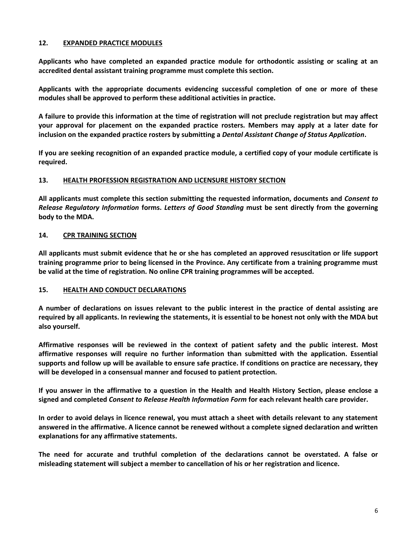#### **12. EXPANDED PRACTICE MODULES**

**Applicants who have completed an expanded practice module for orthodontic assisting or scaling at an accredited dental assistant training programme must complete this section.** 

**Applicants with the appropriate documents evidencing successful completion of one or more of these modules shall be approved to perform these additional activities in practice.** 

**A failure to provide this information at the time of registration will not preclude registration but may affect your approval for placement on the expanded practice rosters. Members may apply at a later date for inclusion on the expanded practice rosters by submitting a** *Dental Assistant Change of Status Application***.**

**If you are seeking recognition of an expanded practice module, a certified copy of your module certificate is required.**

#### **13. HEALTH PROFESSION REGISTRATION AND LICENSURE HISTORY SECTION**

**All applicants must complete this section submitting the requested information, documents and** *Consent to Release Regulatory Information* **forms.** *Letters of Good Standing* **must be sent directly from the governing body to the MDA.**

#### **14. CPR TRAINING SECTION**

**All applicants must submit evidence that he or she has completed an approved resuscitation or life support training programme prior to being licensed in the Province. Any certificate from a training programme must be valid at the time of registration. No online CPR training programmes will be accepted.**

#### **15. HEALTH AND CONDUCT DECLARATIONS**

**A number of declarations on issues relevant to the public interest in the practice of dental assisting are required by all applicants. In reviewing the statements, it is essential to be honest not only with the MDA but also yourself.** 

**Affirmative responses will be reviewed in the context of patient safety and the public interest. Most affirmative responses will require no further information than submitted with the application. Essential supports and follow up will be available to ensure safe practice. If conditions on practice are necessary, they will be developed in a consensual manner and focused to patient protection.** 

**If you answer in the affirmative to a question in the Health and Health History Section, please enclose a signed and completed** *Consent to Release Health Information Form* **for each relevant health care provider.**

**In order to avoid delays in licence renewal, you must attach a sheet with details relevant to any statement answered in the affirmative. A licence cannot be renewed without a complete signed declaration and written explanations for any affirmative statements.**

**The need for accurate and truthful completion of the declarations cannot be overstated. A false or misleading statement will subject a member to cancellation of his or her registration and licence.**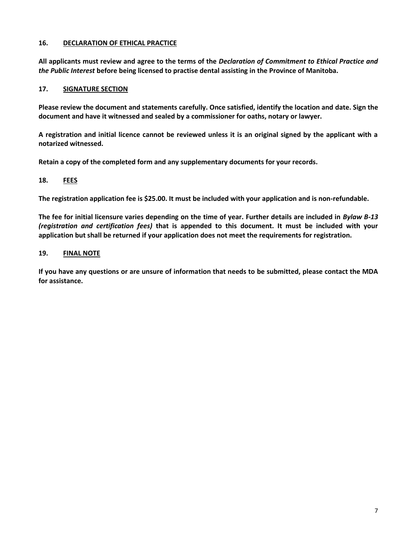#### **16. DECLARATION OF ETHICAL PRACTICE**

**All applicants must review and agree to the terms of the** *Declaration of Commitment to Ethical Practice and the Public Interest* **before being licensed to practise dental assisting in the Province of Manitoba.**

## **17. SIGNATURE SECTION**

**Please review the document and statements carefully. Once satisfied, identify the location and date. Sign the document and have it witnessed and sealed by a commissioner for oaths, notary or lawyer.** 

**A registration and initial licence cannot be reviewed unless it is an original signed by the applicant with a notarized witnessed.** 

**Retain a copy of the completed form and any supplementary documents for your records.**

## **18. FEES**

**The registration application fee is \$25.00. It must be included with your application and is non-refundable.** 

**The fee for initial licensure varies depending on the time of year. Further details are included in** *Bylaw B-13 (registration and certification fees)* **that is appended to this document. It must be included with your application but shall be returned if your application does not meet the requirements for registration.**

#### **19. FINAL NOTE**

**If you have any questions or are unsure of information that needs to be submitted, please contact the MDA for assistance.**